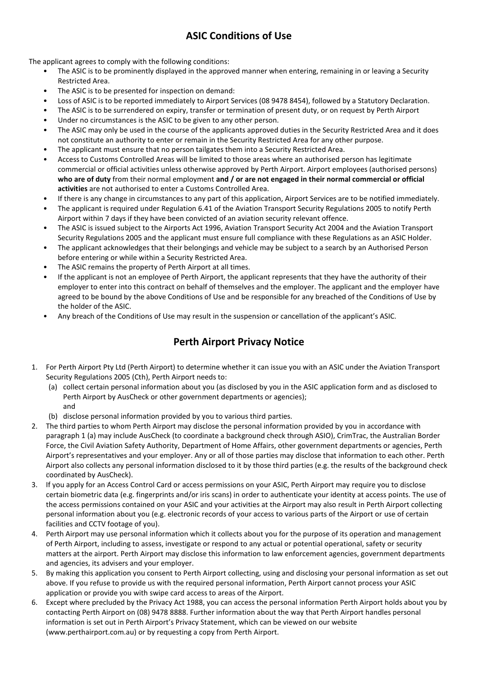# **ASIC Conditions of Use**

The applicant agrees to comply with the following conditions:

- The ASIC is to be prominently displayed in the approved manner when entering, remaining in or leaving a Security Restricted Area.
- The ASIC is to be presented for inspection on demand:
- Loss of ASIC is to be reported immediately to Airport Services (08 9478 8454), followed by a Statutory Declaration.
- The ASIC is to be surrendered on expiry, transfer or termination of present duty, or on request by Perth Airport
- Under no circumstances is the ASIC to be given to any other person.
- The ASIC may only be used in the course of the applicants approved duties in the Security Restricted Area and it does not constitute an authority to enter or remain in the Security Restricted Area for any other purpose.
- The applicant must ensure that no person tailgates them into a Security Restricted Area.
- Access to Customs Controlled Areas will be limited to those areas where an authorised person has legitimate commercial or official activities unless otherwise approved by Perth Airport. Airport employees (authorised persons) **who are of duty** from their normal employment **and / or are not engaged in their normal commercial or official activities** are not authorised to enter a Customs Controlled Area.
- If there is any change in circumstances to any part of this application, Airport Services are to be notified immediately.
- The applicant is required under Regulation 6.41 of the Aviation Transport Security Regulations 2005 to notify Perth Airport within 7 days if they have been convicted of an aviation security relevant offence.
- The ASIC is issued subject to the Airports Act 1996, Aviation Transport Security Act 2004 and the Aviation Transport Security Regulations 2005 and the applicant must ensure full compliance with these Regulations as an ASIC Holder.
- The applicant acknowledges that their belongings and vehicle may be subject to a search by an Authorised Person before entering or while within a Security Restricted Area.
- The ASIC remains the property of Perth Airport at all times.
- If the applicant is not an employee of Perth Airport, the applicant represents that they have the authority of their employer to enter into this contract on behalf of themselves and the employer. The applicant and the employer have agreed to be bound by the above Conditions of Use and be responsible for any breached of the Conditions of Use by the holder of the ASIC.
- Any breach of the Conditions of Use may result in the suspension or cancellation of the applicant's ASIC.

# **Perth Airport Privacy Notice**

- 1. For Perth Airport Pty Ltd (Perth Airport) to determine whether it can issue you with an ASIC under the Aviation Transport Security Regulations 2005 (Cth), Perth Airport needs to:
	- (a) collect certain personal information about you (as disclosed by you in the ASIC application form and as disclosed to Perth Airport by AusCheck or other government departments or agencies); and
	- (b) disclose personal information provided by you to various third parties.
- 2. The third parties to whom Perth Airport may disclose the personal information provided by you in accordance with paragraph 1 (a) may include AusCheck (to coordinate a background check through ASIO), CrimTrac, the Australian Border Force, the Civil Aviation Safety Authority, Department of Home Affairs, other government departments or agencies, Perth Airport's representatives and your employer. Any or all of those parties may disclose that information to each other. Perth Airport also collects any personal information disclosed to it by those third parties (e.g. the results of the background check coordinated by AusCheck).
- 3. If you apply for an Access Control Card or access permissions on your ASIC, Perth Airport may require you to disclose certain biometric data (e.g. fingerprints and/or iris scans) in order to authenticate your identity at access points. The use of the access permissions contained on your ASIC and your activities at the Airport may also result in Perth Airport collecting personal information about you (e.g. electronic records of your access to various parts of the Airport or use of certain facilities and CCTV footage of you).
- 4. Perth Airport may use personal information which it collects about you for the purpose of its operation and management of Perth Airport, including to assess, investigate or respond to any actual or potential operational, safety or security matters at the airport. Perth Airport may disclose this information to law enforcement agencies, government departments and agencies, its advisers and your employer.
- 5. By making this application you consent to Perth Airport collecting, using and disclosing your personal information as set out above. If you refuse to provide us with the required personal information, Perth Airport cannot process your ASIC application or provide you with swipe card access to areas of the Airport.
- 6. Except where precluded by the Privacy Act 1988, you can access the personal information Perth Airport holds about you by contacting Perth Airport on (08) 9478 8888. Further information about the way that Perth Airport handles personal information is set out in Perth Airport's Privacy Statement, which can be viewed on our website (www.perthairport.com.au) or by requesting a copy from Perth Airport.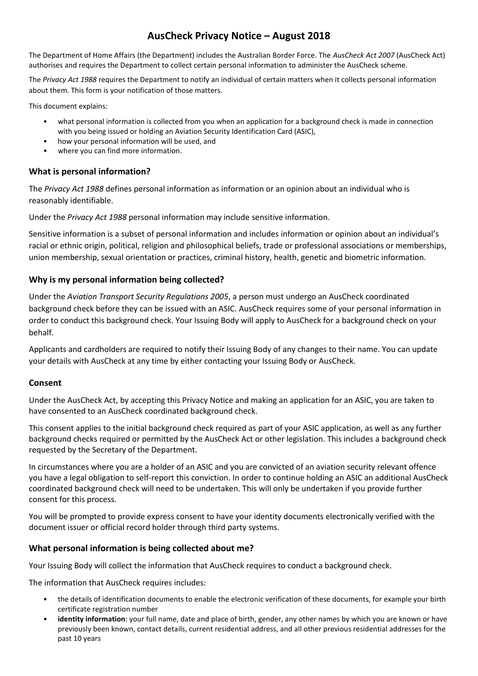## **AusCheck Privacy Notice – August 2018**

The Department of Home Affairs (the Department) includes the Australian Border Force. The *AusCheck Act 2007* (AusCheck Act) authorises and requires the Department to collect certain personal information to administer the AusCheck scheme.

The *Privacy Act 1988* requires the Department to notify an individual of certain matters when it collects personal information about them. This form is your notification of those matters.

This document explains:

- what personal information is collected from you when an application for a background check is made in connection with you being issued or holding an Aviation Security Identification Card (ASIC),
- how your personal information will be used, and
- where you can find more information.

### **What is personal information?**

The *Privacy Act 1988* defines personal information as information or an opinion about an individual who is reasonably identifiable.

Under the *Privacy Act 1988* personal information may include sensitive information.

Sensitive information is a subset of personal information and includes information or opinion about an individual's racial or ethnic origin, political, religion and philosophical beliefs, trade or professional associations or memberships, union membership, sexual orientation or practices, criminal history, health, genetic and biometric information.

#### **Why is my personal information being collected?**

Under the *Aviation Transport Security Regulations 2005*, a person must undergo an AusCheck coordinated background check before they can be issued with an ASIC. AusCheck requires some of your personal information in order to conduct this background check. Your Issuing Body will apply to AusCheck for a background check on your behalf.

Applicants and cardholders are required to notify their Issuing Body of any changes to their name. You can update your details with AusCheck at any time by either contacting your Issuing Body or AusCheck.

#### **Consent**

Under the AusCheck Act, by accepting this Privacy Notice and making an application for an ASIC, you are taken to have consented to an AusCheck coordinated background check.

This consent applies to the initial background check required as part of your ASIC application, as well as any further background checks required or permitted by the AusCheck Act or other legislation. This includes a background check requested by the Secretary of the Department.

In circumstances where you are a holder of an ASIC and you are convicted of an aviation security relevant offence you have a legal obligation to self-report this conviction. In order to continue holding an ASIC an additional AusCheck coordinated background check will need to be undertaken. This will only be undertaken if you provide further consent for this process.

You will be prompted to provide express consent to have your identity documents electronically verified with the document issuer or official record holder through third party systems.

### **What personal information is being collected about me?**

Your Issuing Body will collect the information that AusCheck requires to conduct a background check.

The information that AusCheck requires includes:

- the details of identification documents to enable the electronic verification of these documents, for example your birth certificate registration number
- identity information: your full name, date and place of birth, gender, any other names by which you are known or have previously been known, contact details, current residential address, and all other previous residential addresses for the past 10 years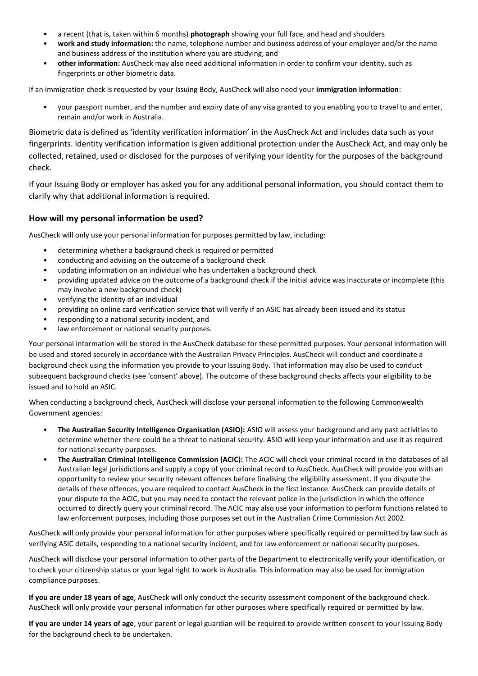- a recent (that is, taken within 6 months) **photograph** showing your full face, and head and shoulders
- **work and study information:** the name, telephone number and business address of your employer and/or the name and business address of the institution where you are studying, and
- **other information:** AusCheck may also need additional information in order to confirm your identity, such as fingerprints or other biometric data.

If an immigration check is requested by your Issuing Body, AusCheck will also need your **immigration information**:

• your passport number, and the number and expiry date of any visa granted to you enabling you to travel to and enter, remain and/or work in Australia.

Biometric data is defined as 'identity verification information' in the AusCheck Act and includes data such as your fingerprints. Identity verification information is given additional protection under the AusCheck Act, and may only be collected, retained, used or disclosed for the purposes of verifying your identity for the purposes of the background check.

If your Issuing Body or employer has asked you for any additional personal information, you should contact them to clarify why that additional information is required.

#### **How will my personal information be used?**

AusCheck will only use your personal information for purposes permitted by law, including:

- determining whether a background check is required or permitted
- conducting and advising on the outcome of a background check
- updating information on an individual who has undertaken a background check
- providing updated advice on the outcome of a background check if the initial advice was inaccurate or incomplete (this may involve a new background check)
- verifying the identity of an individual
- providing an online card verification service that will verify if an ASIC has already been issued and its status
- responding to a national security incident, and
- law enforcement or national security purposes.

Your personal information will be stored in the AusCheck database for these permitted purposes. Your personal information will be used and stored securely in accordance with the Australian Privacy Principles. AusCheck will conduct and coordinate a background check using the information you provide to your Issuing Body. That information may also be used to conduct subsequent background checks (see 'consent' above). The outcome of these background checks affects your eligibility to be issued and to hold an ASIC.

When conducting a background check, AusCheck will disclose your personal information to the following Commonwealth Government agencies:

- **The Australian Security Intelligence Organisation (ASIO):** ASIO will assess your background and any past activities to determine whether there could be a threat to national security. ASIO will keep your information and use it as required for national security purposes.
- **The Australian Criminal Intelligence Commission (ACIC):** The ACIC will check your criminal record in the databases of all Australian legal jurisdictions and supply a copy of your criminal record to AusCheck. AusCheck will provide you with an opportunity to review your security relevant offences before finalising the eligibility assessment. If you dispute the details of these offences, you are required to contact AusCheck in the first instance. AusCheck can provide details of your dispute to the ACIC, but you may need to contact the relevant police in the jurisdiction in which the offence occurred to directly query your criminal record. The ACIC may also use your information to perform functions related to law enforcement purposes, including those purposes set out in the Australian Crime Commission Act 2002.

AusCheck will only provide your personal information for other purposes where specifically required or permitted by law such as verifying ASIC details, responding to a national security incident, and for law enforcement or national security purposes.

AusCheck will disclose your personal information to other parts of the Department to electronically verify your identification, or to check your citizenship status or your legal right to work in Australia. This information may also be used for immigration compliance purposes.

**If you are under 18 years of age**, AusCheck will only conduct the security assessment component of the background check. AusCheck will only provide your personal information for other purposes where specifically required or permitted by law.

**If you are under 14 years of age**, your parent or legal guardian will be required to provide written consent to your Issuing Body for the background check to be undertaken.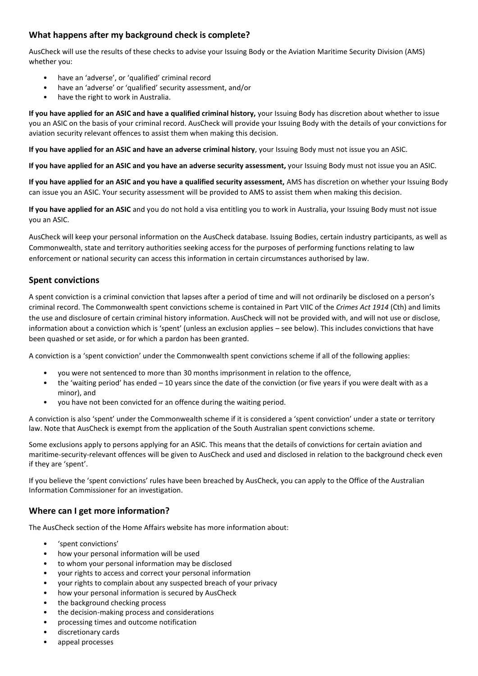#### **What happens after my background check is complete?**

AusCheck will use the results of these checks to advise your Issuing Body or the Aviation Maritime Security Division (AMS) whether you:

- have an 'adverse', or 'qualified' criminal record
- have an 'adverse' or 'qualified' security assessment, and/or
- have the right to work in Australia.

**If you have applied for an ASIC and have a qualified criminal history,** your Issuing Body has discretion about whether to issue you an ASIC on the basis of your criminal record. AusCheck will provide your Issuing Body with the details of your convictions for aviation security relevant offences to assist them when making this decision.

**If you have applied for an ASIC and have an adverse criminal history**, your Issuing Body must not issue you an ASIC.

**If you have applied for an ASIC and you have an adverse security assessment,** your Issuing Body must not issue you an ASIC.

**If you have applied for an ASIC and you have a qualified security assessment,** AMS has discretion on whether your Issuing Body can issue you an ASIC. Your security assessment will be provided to AMS to assist them when making this decision.

**If you have applied for an ASIC** and you do not hold a visa entitling you to work in Australia, your Issuing Body must not issue you an ASIC.

AusCheck will keep your personal information on the AusCheck database. Issuing Bodies, certain industry participants, as well as Commonwealth, state and territory authorities seeking access for the purposes of performing functions relating to law enforcement or national security can access this information in certain circumstances authorised by law.

#### **Spent convictions**

A spent conviction is a criminal conviction that lapses after a period of time and will not ordinarily be disclosed on a person's criminal record. The Commonwealth spent convictions scheme is contained in Part VIIC of the *Crimes Act 1914* (Cth) and limits the use and disclosure of certain criminal history information. AusCheck will not be provided with, and will not use or disclose, information about a conviction which is 'spent' (unless an exclusion applies – see below). This includes convictions that have been quashed or set aside, or for which a pardon has been granted.

A conviction is a 'spent conviction' under the Commonwealth spent convictions scheme if all of the following applies:

- you were not sentenced to more than 30 months imprisonment in relation to the offence,
- the 'waiting period' has ended 10 years since the date of the conviction (or five years if you were dealt with as a minor), and
- you have not been convicted for an offence during the waiting period.

A conviction is also 'spent' under the Commonwealth scheme if it is considered a 'spent conviction' under a state or territory law. Note that AusCheck is exempt from the application of the South Australian spent convictions scheme.

Some exclusions apply to persons applying for an ASIC. This means that the details of convictions for certain aviation and maritime-security-relevant offences will be given to AusCheck and used and disclosed in relation to the background check even if they are 'spent'.

If you believe the 'spent convictions' rules have been breached by AusCheck, you can apply to the Office of the Australian Information Commissioner for an investigation.

#### **Where can I get more information?**

The AusCheck section of the Home Affairs website has more information about:

- 'spent convictions'
- how your personal information will be used
- to whom your personal information may be disclosed
- your rights to access and correct your personal information
- your rights to complain about any suspected breach of your privacy
- how your personal information is secured by AusCheck
- the background checking process
- the decision-making process and considerations
- processing times and outcome notification
- discretionary cards
- appeal processes